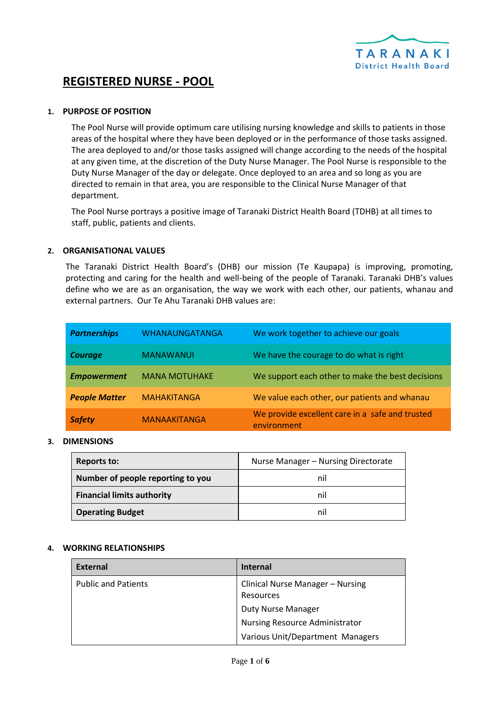

# **REGISTERED NURSE - POOL**

# **1. PURPOSE OF POSITION**

The Pool Nurse will provide optimum care utilising nursing knowledge and skills to patients in those areas of the hospital where they have been deployed or in the performance of those tasks assigned. The area deployed to and/or those tasks assigned will change according to the needs of the hospital at any given time, at the discretion of the Duty Nurse Manager. The Pool Nurse is responsible to the Duty Nurse Manager of the day or delegate. Once deployed to an area and so long as you are directed to remain in that area, you are responsible to the Clinical Nurse Manager of that department.

The Pool Nurse portrays a positive image of Taranaki District Health Board (TDHB) at all times to staff, public, patients and clients.

#### **2. ORGANISATIONAL VALUES**

The Taranaki District Health Board's (DHB) our mission (Te Kaupapa) is improving, promoting, protecting and caring for the health and well-being of the people of Taranaki. Taranaki DHB's values define who we are as an organisation, the way we work with each other, our patients, whanau and external partners. Our Te Ahu Taranaki DHB values are:

| <b>Partnerships</b>  | <b>WHANAUNGATANGA</b> | We work together to achieve our goals                          |
|----------------------|-----------------------|----------------------------------------------------------------|
| <b>Courage</b>       | <b>MANAWANUI</b>      | We have the courage to do what is right                        |
| <b>Empowerment</b>   | <b>MANA MOTUHAKE</b>  | We support each other to make the best decisions               |
| <b>People Matter</b> | <b>MAHAKITANGA</b>    | We value each other, our patients and whanau                   |
| <b>Safety</b>        | <b>MANAAKITANGA</b>   | We provide excellent care in a safe and trusted<br>environment |

#### **3. DIMENSIONS**

| <b>Reports to:</b>                | Nurse Manager - Nursing Directorate |
|-----------------------------------|-------------------------------------|
| Number of people reporting to you | nil                                 |
| <b>Financial limits authority</b> | nil                                 |
| <b>Operating Budget</b>           | ni                                  |

#### **4. WORKING RELATIONSHIPS**

| <b>External</b>            | <b>Internal</b>                               |
|----------------------------|-----------------------------------------------|
| <b>Public and Patients</b> | Clinical Nurse Manager - Nursing<br>Resources |
|                            | <b>Duty Nurse Manager</b>                     |
|                            | <b>Nursing Resource Administrator</b>         |
|                            | Various Unit/Department Managers              |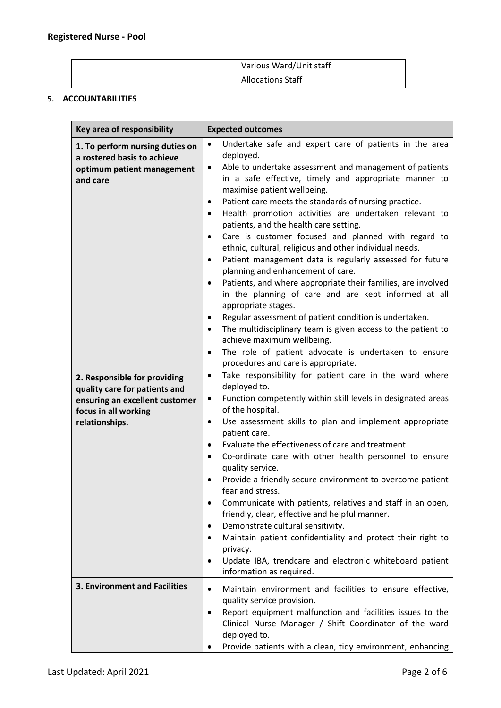| Various Ward/Unit staff |
|-------------------------|
| Allocations Staff       |

# **5. ACCOUNTABILITIES**

| Key area of responsibility                                                                                                                | <b>Expected outcomes</b>                                                                                                                                                                                                                                                                                                                                                                                                                                                                                                                                                                                                                                                                                                                                                                                                                                                                                                                                                                                                                                                                                                  |
|-------------------------------------------------------------------------------------------------------------------------------------------|---------------------------------------------------------------------------------------------------------------------------------------------------------------------------------------------------------------------------------------------------------------------------------------------------------------------------------------------------------------------------------------------------------------------------------------------------------------------------------------------------------------------------------------------------------------------------------------------------------------------------------------------------------------------------------------------------------------------------------------------------------------------------------------------------------------------------------------------------------------------------------------------------------------------------------------------------------------------------------------------------------------------------------------------------------------------------------------------------------------------------|
| 1. To perform nursing duties on<br>a rostered basis to achieve<br>optimum patient management<br>and care                                  | Undertake safe and expert care of patients in the area<br>deployed.<br>Able to undertake assessment and management of patients<br>$\bullet$<br>in a safe effective, timely and appropriate manner to<br>maximise patient wellbeing.<br>Patient care meets the standards of nursing practice.<br>$\bullet$<br>Health promotion activities are undertaken relevant to<br>$\bullet$<br>patients, and the health care setting.<br>Care is customer focused and planned with regard to<br>$\bullet$<br>ethnic, cultural, religious and other individual needs.<br>Patient management data is regularly assessed for future<br>٠<br>planning and enhancement of care.<br>Patients, and where appropriate their families, are involved<br>$\bullet$<br>in the planning of care and are kept informed at all<br>appropriate stages.<br>Regular assessment of patient condition is undertaken.<br>$\bullet$<br>The multidisciplinary team is given access to the patient to<br>$\bullet$<br>achieve maximum wellbeing.<br>The role of patient advocate is undertaken to ensure<br>$\bullet$<br>procedures and care is appropriate. |
| 2. Responsible for providing<br>quality care for patients and<br>ensuring an excellent customer<br>focus in all working<br>relationships. | Take responsibility for patient care in the ward where<br>$\bullet$<br>deployed to.<br>Function competently within skill levels in designated areas<br>$\bullet$<br>of the hospital.<br>Use assessment skills to plan and implement appropriate<br>٠<br>patient care.<br>Evaluate the effectiveness of care and treatment.<br>$\bullet$<br>Co-ordinate care with other health personnel to ensure<br>$\bullet$<br>quality service.<br>Provide a friendly secure environment to overcome patient<br>$\bullet$<br>fear and stress.<br>Communicate with patients, relatives and staff in an open,<br>٠<br>friendly, clear, effective and helpful manner.<br>Demonstrate cultural sensitivity.<br>٠<br>Maintain patient confidentiality and protect their right to<br>$\bullet$<br>privacy.<br>Update IBA, trendcare and electronic whiteboard patient<br>٠<br>information as required.                                                                                                                                                                                                                                       |
| <b>3. Environment and Facilities</b>                                                                                                      | Maintain environment and facilities to ensure effective,<br>$\bullet$<br>quality service provision.<br>Report equipment malfunction and facilities issues to the<br>$\bullet$<br>Clinical Nurse Manager / Shift Coordinator of the ward<br>deployed to.<br>Provide patients with a clean, tidy environment, enhancing                                                                                                                                                                                                                                                                                                                                                                                                                                                                                                                                                                                                                                                                                                                                                                                                     |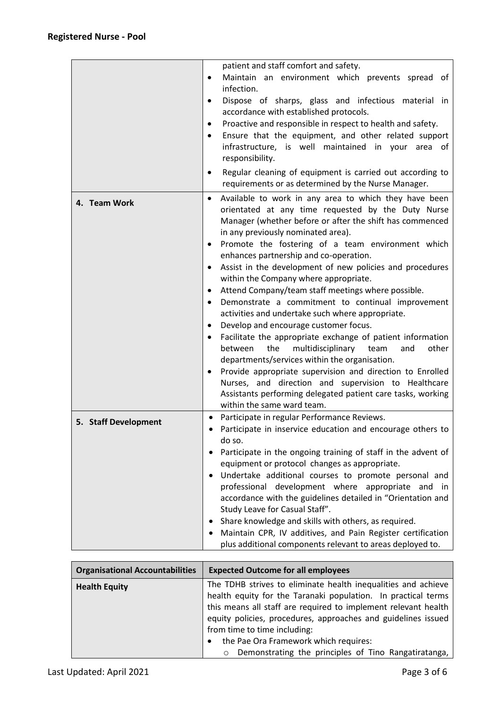|                      | patient and staff comfort and safety.                                                                                 |
|----------------------|-----------------------------------------------------------------------------------------------------------------------|
|                      | Maintain an environment which prevents spread of<br>$\bullet$                                                         |
|                      | infection.                                                                                                            |
|                      | Dispose of sharps, glass and infectious material in                                                                   |
|                      | accordance with established protocols.                                                                                |
|                      | Proactive and responsible in respect to health and safety.                                                            |
|                      | Ensure that the equipment, and other related support                                                                  |
|                      | infrastructure, is well maintained in your area of                                                                    |
|                      | responsibility.                                                                                                       |
|                      |                                                                                                                       |
|                      | Regular cleaning of equipment is carried out according to<br>٠<br>requirements or as determined by the Nurse Manager. |
| 4. Team Work         | Available to work in any area to which they have been<br>$\bullet$                                                    |
|                      | orientated at any time requested by the Duty Nurse                                                                    |
|                      | Manager (whether before or after the shift has commenced                                                              |
|                      | in any previously nominated area).                                                                                    |
|                      | Promote the fostering of a team environment which<br>٠                                                                |
|                      | enhances partnership and co-operation.                                                                                |
|                      | Assist in the development of new policies and procedures<br>٠                                                         |
|                      | within the Company where appropriate.                                                                                 |
|                      | Attend Company/team staff meetings where possible.<br>٠                                                               |
|                      | Demonstrate a commitment to continual improvement<br>$\bullet$                                                        |
|                      | activities and undertake such where appropriate.                                                                      |
|                      | Develop and encourage customer focus.                                                                                 |
|                      | Facilitate the appropriate exchange of patient information                                                            |
|                      | multidisciplinary<br>other<br>the<br>and<br>between<br>team                                                           |
|                      | departments/services within the organisation.                                                                         |
|                      | Provide appropriate supervision and direction to Enrolled                                                             |
|                      | Nurses, and direction and supervision to Healthcare                                                                   |
|                      | Assistants performing delegated patient care tasks, working                                                           |
|                      | within the same ward team.                                                                                            |
| 5. Staff Development | Participate in regular Performance Reviews.<br>٠                                                                      |
|                      | Participate in inservice education and encourage others to                                                            |
|                      | do so.                                                                                                                |
|                      | Participate in the ongoing training of staff in the advent of                                                         |
|                      | equipment or protocol changes as appropriate.                                                                         |
|                      | Undertake additional courses to promote personal and<br>٠                                                             |
|                      | professional development where appropriate and in                                                                     |
|                      | accordance with the guidelines detailed in "Orientation and                                                           |
|                      | Study Leave for Casual Staff".                                                                                        |
|                      | Share knowledge and skills with others, as required.<br>٠                                                             |
|                      | Maintain CPR, IV additives, and Pain Register certification                                                           |
|                      | plus additional components relevant to areas deployed to.                                                             |

| <b>Organisational Accountabilities</b> | <b>Expected Outcome for all employees</b>                                                                                                                                                                                                                                                         |
|----------------------------------------|---------------------------------------------------------------------------------------------------------------------------------------------------------------------------------------------------------------------------------------------------------------------------------------------------|
| <b>Health Equity</b>                   | The TDHB strives to eliminate health inequalities and achieve<br>health equity for the Taranaki population. In practical terms<br>this means all staff are required to implement relevant health<br>equity policies, procedures, approaches and guidelines issued<br>from time to time including: |
|                                        | the Pae Ora Framework which requires:                                                                                                                                                                                                                                                             |
|                                        | Demonstrating the principles of Tino Rangatiratanga,<br>$\circ$                                                                                                                                                                                                                                   |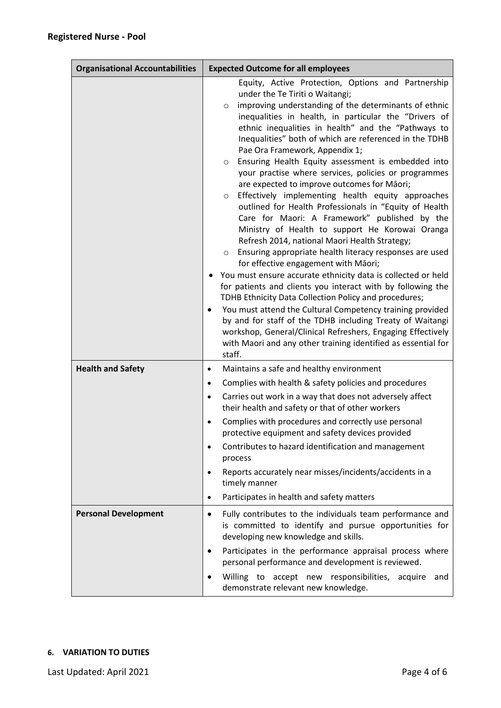| <b>Organisational Accountabilities</b> | <b>Expected Outcome for all employees</b>                                                                                                                                                                                                                                                                                                                                                                                                                                                                                                                                                                                                                                                                                                                                                                                                                                                                                                                                                                                                                                                                                                                                                                                                                                                                                                                                                                     |
|----------------------------------------|---------------------------------------------------------------------------------------------------------------------------------------------------------------------------------------------------------------------------------------------------------------------------------------------------------------------------------------------------------------------------------------------------------------------------------------------------------------------------------------------------------------------------------------------------------------------------------------------------------------------------------------------------------------------------------------------------------------------------------------------------------------------------------------------------------------------------------------------------------------------------------------------------------------------------------------------------------------------------------------------------------------------------------------------------------------------------------------------------------------------------------------------------------------------------------------------------------------------------------------------------------------------------------------------------------------------------------------------------------------------------------------------------------------|
|                                        | Equity, Active Protection, Options and Partnership<br>under the Te Tiriti o Waitangi;<br>improving understanding of the determinants of ethnic<br>$\circ$<br>inequalities in health, in particular the "Drivers of<br>ethnic inequalities in health" and the "Pathways to<br>Inequalities" both of which are referenced in the TDHB<br>Pae Ora Framework, Appendix 1;<br>Ensuring Health Equity assessment is embedded into<br>$\circ$<br>your practise where services, policies or programmes<br>are expected to improve outcomes for Māori;<br>Effectively implementing health equity approaches<br>O<br>outlined for Health Professionals in "Equity of Health<br>Care for Maori: A Framework" published by the<br>Ministry of Health to support He Korowai Oranga<br>Refresh 2014, national Maori Health Strategy;<br>Ensuring appropriate health literacy responses are used<br>$\circ$<br>for effective engagement with Māori;<br>You must ensure accurate ethnicity data is collected or held<br>for patients and clients you interact with by following the<br>TDHB Ethnicity Data Collection Policy and procedures;<br>You must attend the Cultural Competency training provided<br>$\bullet$<br>by and for staff of the TDHB including Treaty of Waitangi<br>workshop, General/Clinical Refreshers, Engaging Effectively<br>with Maori and any other training identified as essential for<br>staff. |
| <b>Health and Safety</b>               | Maintains a safe and healthy environment<br>$\bullet$<br>Complies with health & safety policies and procedures<br>$\bullet$<br>Carries out work in a way that does not adversely affect<br>$\bullet$<br>their health and safety or that of other workers<br>Complies with procedures and correctly use personal<br>protective equipment and safety devices provided<br>Contributes to hazard identification and management<br>$\bullet$<br>process<br>Reports accurately near misses/incidents/accidents in a<br>$\bullet$<br>timely manner<br>Participates in health and safety matters<br>$\bullet$                                                                                                                                                                                                                                                                                                                                                                                                                                                                                                                                                                                                                                                                                                                                                                                                         |
| <b>Personal Development</b>            | Fully contributes to the individuals team performance and<br>$\bullet$<br>is committed to identify and pursue opportunities for<br>developing new knowledge and skills.<br>Participates in the performance appraisal process where<br>$\bullet$<br>personal performance and development is reviewed.<br>Willing to accept new responsibilities, acquire and<br>٠<br>demonstrate relevant new knowledge.                                                                                                                                                                                                                                                                                                                                                                                                                                                                                                                                                                                                                                                                                                                                                                                                                                                                                                                                                                                                       |

# **6. VARIATION TO DUTIES**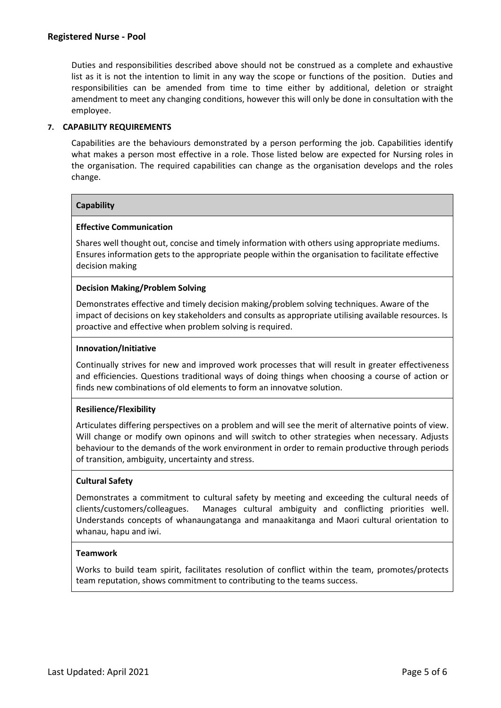Duties and responsibilities described above should not be construed as a complete and exhaustive list as it is not the intention to limit in any way the scope or functions of the position. Duties and responsibilities can be amended from time to time either by additional, deletion or straight amendment to meet any changing conditions, however this will only be done in consultation with the employee.

# **7. CAPABILITY REQUIREMENTS**

Capabilities are the behaviours demonstrated by a person performing the job. Capabilities identify what makes a person most effective in a role. Those listed below are expected for Nursing roles in the organisation. The required capabilities can change as the organisation develops and the roles change.

# **Capability**

# **Effective Communication**

Shares well thought out, concise and timely information with others using appropriate mediums. Ensures information gets to the appropriate people within the organisation to facilitate effective decision making

# **Decision Making/Problem Solving**

Demonstrates effective and timely decision making/problem solving techniques. Aware of the impact of decisions on key stakeholders and consults as appropriate utilising available resources. Is proactive and effective when problem solving is required.

#### **Innovation/Initiative**

Continually strives for new and improved work processes that will result in greater effectiveness and efficiencies. Questions traditional ways of doing things when choosing a course of action or finds new combinations of old elements to form an innovatve solution.

# **Resilience/Flexibility**

Articulates differing perspectives on a problem and will see the merit of alternative points of view. Will change or modify own opinons and will switch to other strategies when necessary. Adjusts behaviour to the demands of the work environment in order to remain productive through periods of transition, ambiguity, uncertainty and stress.

# **Cultural Safety**

Demonstrates a commitment to cultural safety by meeting and exceeding the cultural needs of clients/customers/colleagues. Manages cultural ambiguity and conflicting priorities well. Understands concepts of whanaungatanga and manaakitanga and Maori cultural orientation to whanau, hapu and iwi.

#### **Teamwork**

Works to build team spirit, facilitates resolution of conflict within the team, promotes/protects team reputation, shows commitment to contributing to the teams success.